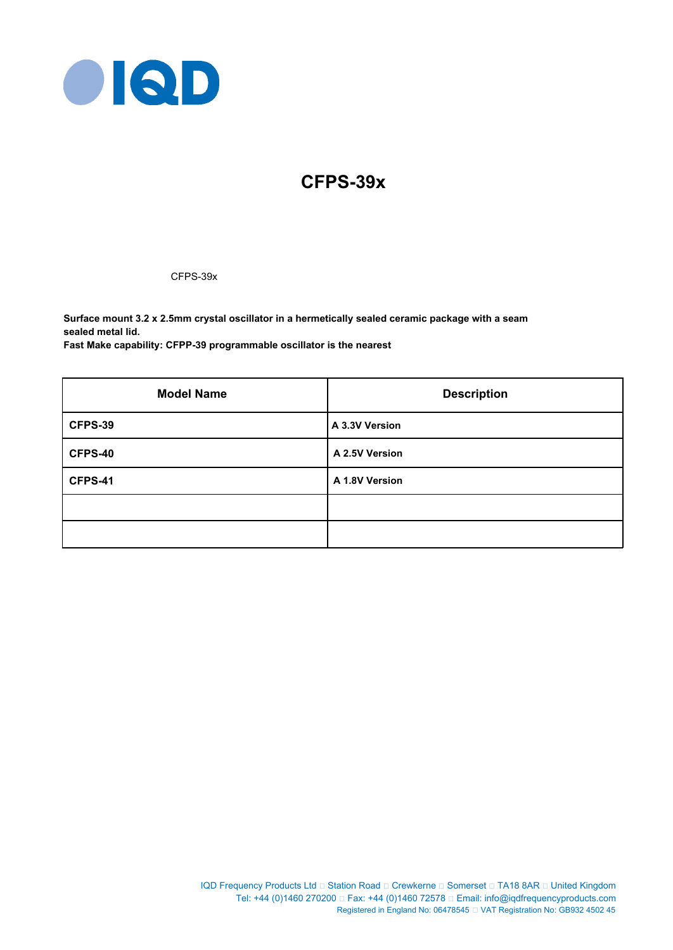

# **CFPS-39x**

CFPS-39x

**Surface mount 3.2 x 2.5mm crystal oscillator in a hermetically sealed ceramic package with a seam sealed metal lid.**

**Fast Make capability: CFPP-39 programmable oscillator is the nearest**

| <b>Model Name</b> | <b>Description</b> |  |  |  |
|-------------------|--------------------|--|--|--|
| CFPS-39           | A 3.3V Version     |  |  |  |
| CFPS-40           | A 2.5V Version     |  |  |  |
| CFPS-41           | A 1.8V Version     |  |  |  |
|                   |                    |  |  |  |
|                   |                    |  |  |  |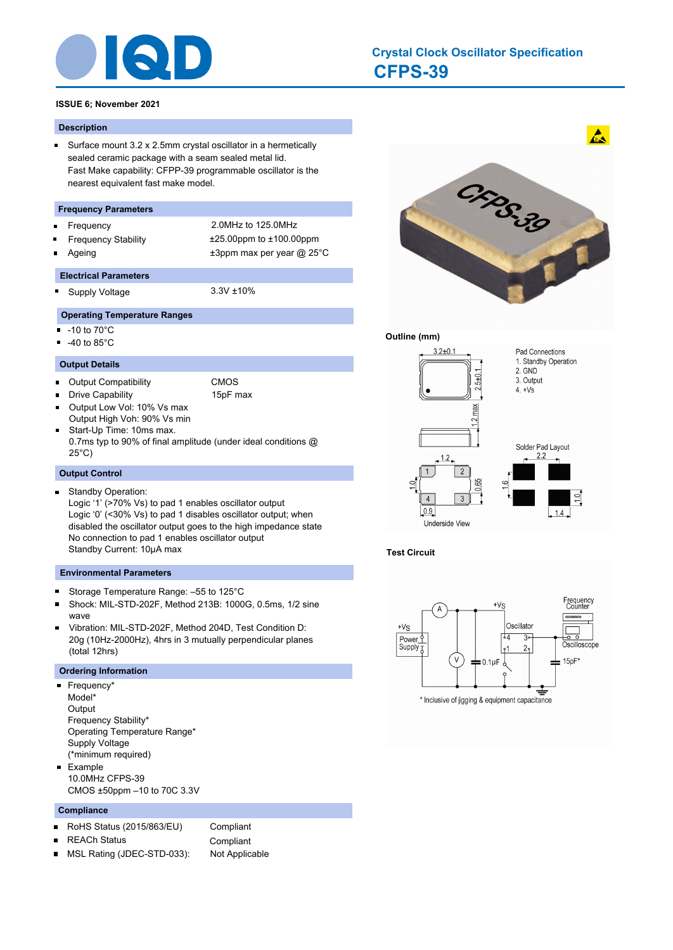

# **CFPS-39 Crystal Clock Oscillator Specification**

#### **ISSUE 6; November 2021**

#### **Description**

Surface mount 3.2 x 2.5mm crystal oscillator in a hermetically  $\blacksquare$ sealed ceramic package with a seam sealed metal lid. Fast Make capability: CFPP-39 programmable oscillator is the nearest equivalent fast make model.

#### **Frequency Parameters**

- $\blacksquare$
- 
- Frequency 2.0MHz to 125.0MHz Frequency Stability ±25.00ppm to ±100.00ppm Ageing  $\qquad \qquad \pm 3$ ppm max per year @ 25°C
- **Electrical Parameters**

Supply Voltage 3.3V ±10%

# **Operating Temperature Ranges**

-10 to 70°C

×

-40 to 85°C  $\blacksquare$ 

#### **Output Details**

 $\blacksquare$ Output Compatibility **CMOS** 

Drive Capability 15pF max

- $\blacksquare$ Output Low Vol: 10% Vs max Output High Voh: 90% Vs min
- $\blacksquare$ Start-Up Time: 10ms max. 0.7ms typ to 90% of final amplitude (under ideal conditions @ 25°C)

#### **Output Control**

- Standby Operation:  $\blacksquare$
- Logic '1' (>70% Vs) to pad 1 enables oscillator output Logic '0' (<30% Vs) to pad 1 disables oscillator output; when disabled the oscillator output goes to the high impedance state No connection to pad 1 enables oscillator output Standby Current: 10μA max

#### **Environmental Parameters**

- Storage Temperature Range: –55 to 125°C  $\blacksquare$
- × Shock: MIL-STD-202F, Method 213B: 1000G, 0.5ms, 1/2 sine wave
- Vibration: MIL-STD-202F, Method 204D, Test Condition D: 20g (10Hz-2000Hz), 4hrs in 3 mutually perpendicular planes (total 12hrs)

#### **Ordering Information**

- **Frequency\*** Model\* **Output** Frequency Stability\* Operating Temperature Range\* Supply Voltage (\*minimum required) **Example**
- 10.0MHz CFPS-39 CMOS ±50ppm –10 to 70C 3.3V

#### **Compliance**

- RoHS Status (2015/863/EU) Compliant  $\blacksquare$
- REACh Status **Compliant**
- É MSL Rating (JDEC-STD-033): Not Applicable



#### **Outline (mm)**



**Test Circuit**

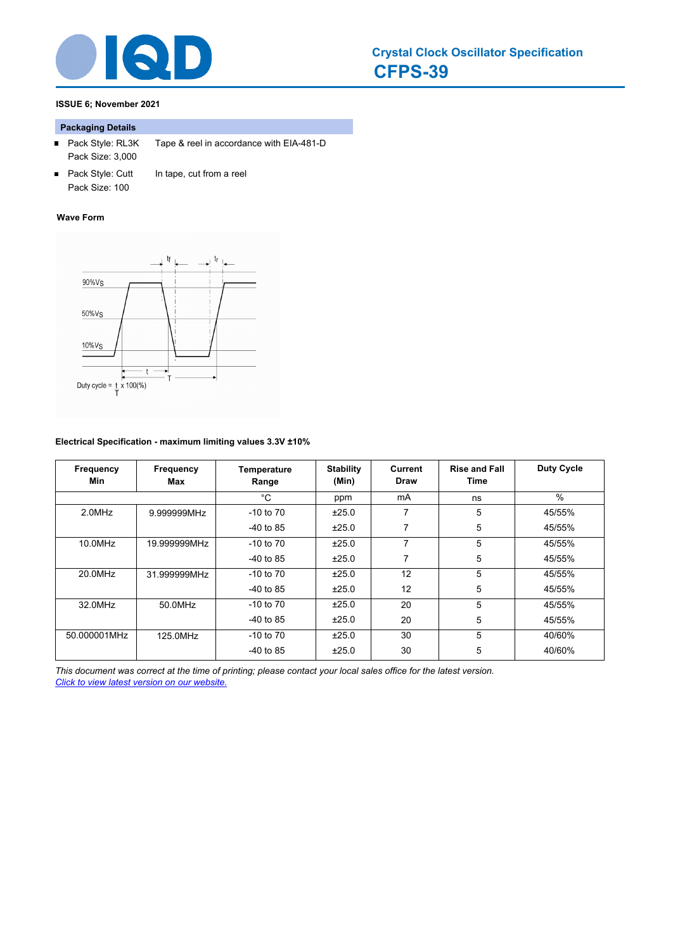

# **ISSUE 6; November 2021**

# **Packaging Details**

- Pack Style: RL3K Tape & reel in accordance with EIA-481-D Pack Size: 3,000
- Pack Style: Cutt In tape, cut from a reel Pack Size: 100

#### **Wave Form**



# **Electrical Specification - maximum limiting values 3.3V ±10%**

| Frequency<br>Min | Frequency<br>Max | <b>Temperature</b><br>Range | <b>Stability</b><br>(Min) | Current<br><b>Draw</b> | <b>Rise and Fall</b><br>Time | <b>Duty Cycle</b> |
|------------------|------------------|-----------------------------|---------------------------|------------------------|------------------------------|-------------------|
|                  |                  | $^{\circ}$ C                | ppm                       | mA                     | ns                           | $\%$              |
| 2.0MHz           | 9.999999MHz      | $-10$ to $70$               | ±25.0                     | 7                      | 5                            | 45/55%            |
|                  |                  | $-40$ to 85                 | ±25.0                     | 7                      | 5                            | 45/55%            |
| 10.0MHz          | 19.999999MHz     | $-10$ to $70$               | ±25.0                     | 7                      | 5                            | 45/55%            |
|                  |                  | $-40$ to 85                 | ±25.0                     | $\overline{7}$         | 5                            | 45/55%            |
| 20.0MHz          | 31.999999MHz     | $-10$ to $70$               | ±25.0                     | 12                     | 5                            | 45/55%            |
|                  |                  | $-40$ to 85                 | ±25.0                     | 12                     | 5                            | 45/55%            |
| 32.0MHz          | 50.0MHz          | $-10$ to $70$               | ±25.0                     | 20                     | 5                            | 45/55%            |
|                  |                  | $-40$ to 85                 | ±25.0                     | 20                     | 5                            | 45/55%            |
| 50.000001MHz     | 125.0MHz         | $-10$ to $70$               | ±25.0                     | 30                     | 5                            | 40/60%            |
|                  |                  | $-40$ to 85                 | ±25.0                     | 30                     | 5                            | 40/60%            |

*This document was correct at the time of printing; please contact your local sales office for the latest version. Click to view latest version on our website.*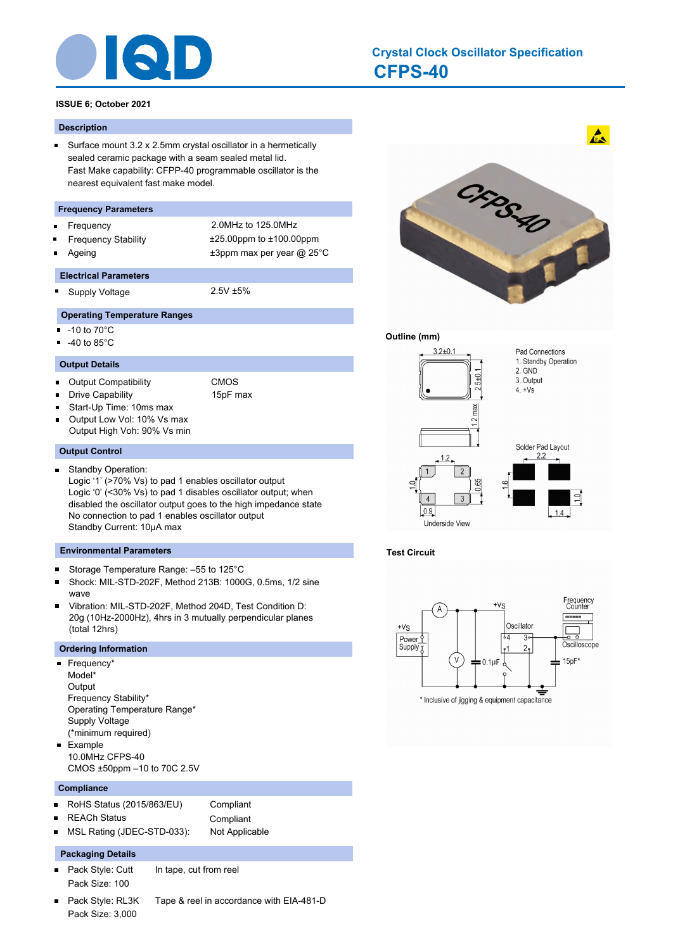

# **CFPS-40 Crystal Clock Oscillator Specification**

# **ISSUE 6; October 2021**

#### **Description**

 $\blacksquare$ Surface mount 3.2 x 2.5mm crystal oscillator in a hermetically sealed ceramic package with a seam sealed metal lid. Fast Make capability: CFPP-40 programmable oscillator is the nearest equivalent fast make model.

#### **Frequency Parameters**

- $\blacksquare$
- 
- Frequency 2.0MHz to 125.0MHz Frequency Stability ±25.00ppm to ±100.00ppm Ageing  $\qquad \qquad \pm 3$ ppm max per year @ 25°C
- **Electrical Parameters**

Supply Voltage 2.5V ±5%

# **Operating Temperature Ranges**

- -10 to 70°C
- -40 to 85°C  $\blacksquare$

#### **Output Details**

- $\blacksquare$ Output Compatibility **CMOS**
- $\blacksquare$ Drive Capability 15pF max
- $\blacksquare$ Start-Up Time: 10ms max
- $\blacksquare$ Output Low Vol: 10% Vs max Output High Voh: 90% Vs min

#### **Output Control**

- Standby Operation:
	- Logic '1' (>70% Vs) to pad 1 enables oscillator output Logic '0' (<30% Vs) to pad 1 disables oscillator output; when disabled the oscillator output goes to the high impedance state No connection to pad 1 enables oscillator output Standby Current: 10μA max

#### **Environmental Parameters**

- Storage Temperature Range: –55 to 125°C  $\blacksquare$
- Shock: MIL-STD-202F, Method 213B: 1000G, 0.5ms, 1/2 sine  $\blacksquare$ wave
- $\blacksquare$ Vibration: MIL-STD-202F, Method 204D, Test Condition D: 20g (10Hz-2000Hz), 4hrs in 3 mutually perpendicular planes (total 12hrs)

# **Ordering Information**

- Frequency\* Model\* **Output** Frequency Stability\* Operating Temperature Range\* Supply Voltage (\*minimum required)
- **Example** 10.0MHz CFPS-40 CMOS ±50ppm –10 to 70C 2.5V

#### **Compliance**

- $\blacksquare$ RoHS Status (2015/863/EU) Compliant
- $\blacksquare$
- REACh Status **Compliant**
- MSL Rating (JDEC-STD-033): Not Applicable

#### **Packaging Details**

- Pack Style: Cutt In tape, cut from reel  $\blacksquare$ Pack Size: 100
- Pack Style: RL3K Tape & reel in accordance with EIA-481-D  $\blacksquare$ Pack Size: 3,000



# **Outline (mm)**



# **Test Circuit**

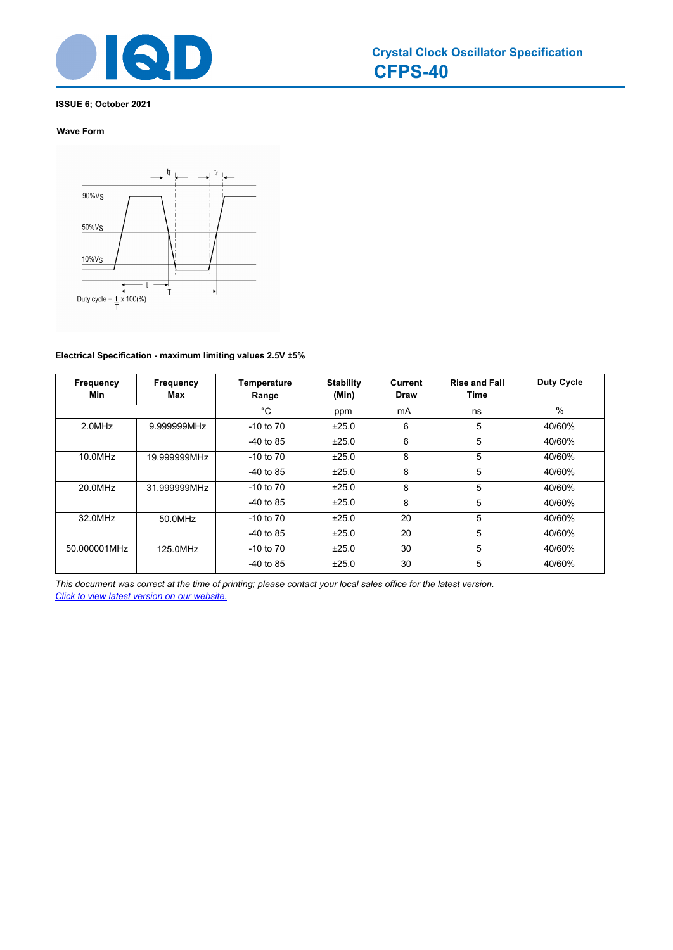

# **ISSUE 6; October 2021**

# **Wave Form**



# **Electrical Specification - maximum limiting values 2.5V ±5%**

| Frequency<br>Min | Frequency<br>Max | Temperature<br>Range | <b>Stability</b><br>(Min) | <b>Current</b><br>Draw | <b>Rise and Fall</b><br>Time | <b>Duty Cycle</b> |
|------------------|------------------|----------------------|---------------------------|------------------------|------------------------------|-------------------|
|                  |                  | °C                   | ppm                       | mA                     | ns                           | $\%$              |
| 2.0MHz           | 9.999999MHz      | $-10$ to $70$        | ±25.0                     | 6                      | 5                            | 40/60%            |
|                  |                  | $-40$ to 85          | ±25.0                     | 6                      | 5                            | 40/60%            |
| 10.0MHz          | 19.999999MHz     | $-10$ to $70$        | ±25.0                     | 8                      | 5                            | 40/60%            |
|                  |                  | $-40$ to 85          | ±25.0                     | 8                      | 5                            | 40/60%            |
| 20.0MHz          | 31.999999MHz     | $-10$ to $70$        | ±25.0                     | 8                      | 5                            | 40/60%            |
|                  |                  | $-40$ to 85          | ±25.0                     | 8                      | 5                            | 40/60%            |
| 32.0MHz          | 50.0MHz          | $-10$ to $70$        | ±25.0                     | 20                     | 5                            | 40/60%            |
|                  |                  | $-40$ to 85          | ±25.0                     | 20                     | 5                            | 40/60%            |
| 50.000001MHz     | 125.0MHz         | $-10$ to $70$        | ±25.0                     | 30                     | 5                            | 40/60%            |
|                  |                  | $-40$ to 85          | ±25.0                     | 30                     | 5                            | 40/60%            |

*This document was correct at the time of printing; please contact your local sales office for the latest version. Click to view latest version on our website.*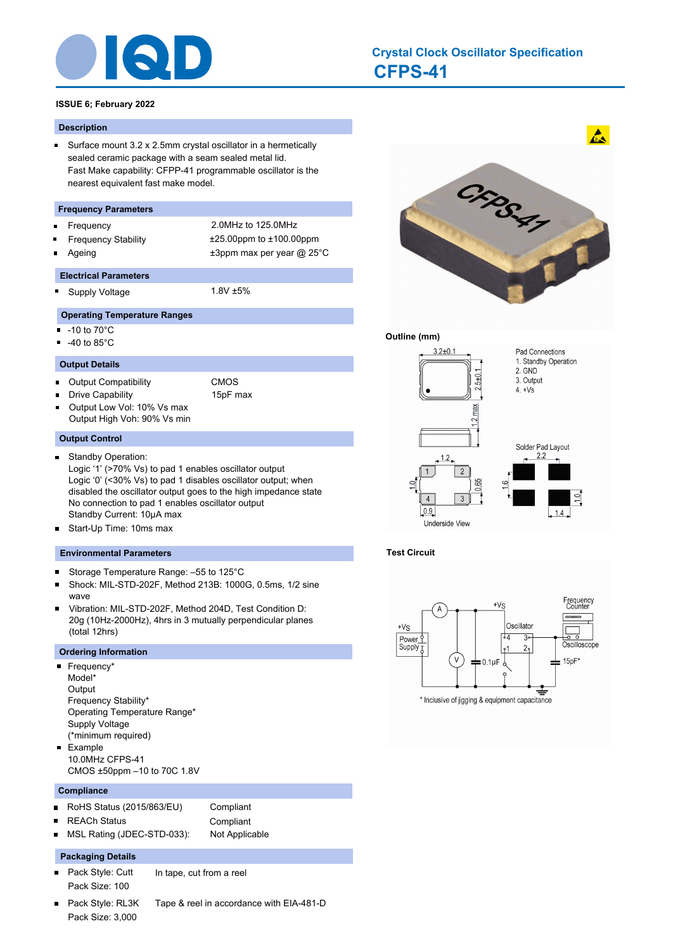

# **CFPS-41 Crystal Clock Oscillator Specification**

# **ISSUE 6; February 2022**

#### **Description**

 $\blacksquare$ Surface mount 3.2 x 2.5mm crystal oscillator in a hermetically sealed ceramic package with a seam sealed metal lid. Fast Make capability: CFPP-41 programmable oscillator is the nearest equivalent fast make model.

#### **Frequency Parameters**

- $\blacksquare$
- 
- Frequency 2.0MHz to 125.0MHz Frequency Stability ±25.00ppm to ±100.00ppm Ageing  $\qquad \qquad \pm 3$ ppm max per year @ 25°C
- **Electrical Parameters**
	- Supply Voltage 1.8V ±5%

# **Operating Temperature Ranges**

- -10 to 70°C
- -40 to 85°C  $\blacksquare$

 $\blacksquare$ 

÷

#### **Output Details**

 $\blacksquare$ Output Compatibility **CMOS** 

Drive Capability 15pF max

 $\blacksquare$ Output Low Vol: 10% Vs max Output High Voh: 90% Vs min

**Output Control**

- Standby Operation: Logic '1' (>70% Vs) to pad 1 enables oscillator output Logic '0' (<30% Vs) to pad 1 disables oscillator output; when disabled the oscillator output goes to the high impedance state No connection to pad 1 enables oscillator output Standby Current: 10µA max
- Start-Up Time: 10ms max  $\blacksquare$

#### **Environmental Parameters**

- Storage Temperature Range: –55 to 125°C ×
- Shock: MIL-STD-202F, Method 213B: 1000G, 0.5ms, 1/2 sine wave
- Vibration: MIL-STD-202F, Method 204D, Test Condition D: 20g (10Hz-2000Hz), 4hrs in 3 mutually perpendicular planes (total 12hrs)

#### **Ordering Information**

- Frequency\* Model\* **Output** Frequency Stability\* Operating Temperature Range\* Supply Voltage (\*minimum required) Example
- 10.0MHz CFPS-41 CMOS ±50ppm –10 to 70C 1.8V

#### **Compliance**

 $\blacksquare$ 

- RoHS Status (2015/863/EU) Compliant  $\blacksquare$  $\blacksquare$
- REACh Status **Compliant** MSL Rating (JDEC-STD-033): Not Applicable

#### **Packaging Details**

- $\blacksquare$ Pack Style: Cutt In tape, cut from a reel Pack Size: 100
- 
- Pack Style: RL3K Tape & reel in accordance with EIA-481-D  $\blacksquare$ Pack Size: 3,000



#### **Outline (mm)**



# **Test Circuit**